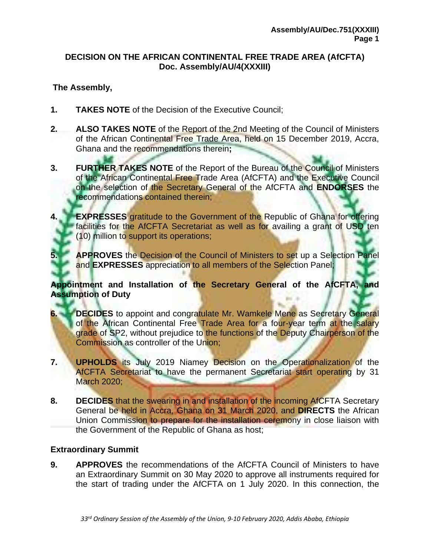# **DECISION ON THE AFRICAN CONTINENTAL FREE TRADE AREA (AfCFTA) Doc. Assembly/AU/4(XXXIII)**

# **The Assembly,**

- **1. TAKES NOTE** of the Decision of the Executive Council;
- **2. ALSO TAKES NOTE** of the Report of the 2nd Meeting of the Council of Ministers of the African Continental Free Trade Area, held on 15 December 2019, Accra, Ghana and the recommendations therein**;**
- **3. FURTHER TAKES NOTE** of the Report of the Bureau of the Council of Ministers of the African Continental Free Trade Area (AfCFTA) and the Executive Council on the selection of the Secretary General of the AfCFTA and **ENDORSES** the recommendations contained therein;
- **4. EXPRESSES** gratitude to the Government of the Republic of Ghana for offering facilities for the AfCFTA Secretariat as well as for availing a grant of USD ten (10) million to support its operations;
- **5. APPROVES** the Decision of the Council of Ministers to set up a Selection Panel and **EXPRESSES** appreciation to all members of the Selection Panel;

## **Appointment and Installation of the Secretary General of the AfCFTA, and Assumption of Duty**

- **6. DECIDES** to appoint and congratulate Mr. Wamkele Mene as Secretary General of the African Continental Free Trade Area for a four-year term at the salary grade of SP2, without prejudice to the functions of the Deputy Chairperson of the Commission as controller of the Union;
- **7. UPHOLDS** its July 2019 Niamey Decision on the Operationalization of the AfCFTA Secretariat to have the permanent Secretariat start operating by 31 March 2020;
- **8. DECIDES** that the swearing in and installation of the incoming AfCFTA Secretary General be held in Accra, Ghana on 31 March 2020, and **DIRECTS** the African Union Commission to prepare for the installation ceremony in close liaison with the Government of the Republic of Ghana as host;

# **Extraordinary Summit**

**9. APPROVES** the recommendations of the AfCFTA Council of Ministers to have an Extraordinary Summit on 30 May 2020 to approve all instruments required for the start of trading under the AfCFTA on 1 July 2020. In this connection, the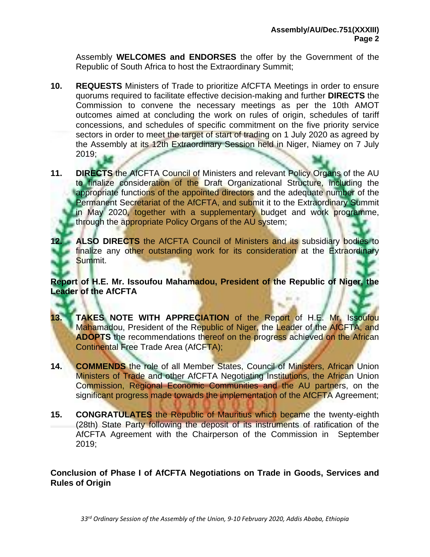Assembly **WELCOMES and ENDORSES** the offer by the Government of the Republic of South Africa to host the Extraordinary Summit;

- **10. REQUESTS** Ministers of Trade to prioritize AfCFTA Meetings in order to ensure quorums required to facilitate effective decision-making and further **DIRECTS** the Commission to convene the necessary meetings as per the 10th AMOT outcomes aimed at concluding the work on rules of origin, schedules of tariff concessions, and schedules of specific commitment on the five priority service sectors in order to meet the target of start of trading on 1 July 2020 as agreed by the Assembly at its 12th Extraordinary Session held in Niger, Niamey on 7 July 2019;
- **11. DIRECTS** the AfCFTA Council of Ministers and relevant Policy Organs of the AU to finalize consideration of the Draft Organizational Structure, including the appropriate functions of the appointed directors and the adequate number of the Permanent Secretariat of the AfCFTA, and submit it to the Extraordinary Summit in May 2020, together with a supplementary budget and work programme, through the appropriate Policy Organs of the AU system;
	- **12. ALSO DIRECTS** the AfCFTA Council of Ministers and its subsidiary bodies to finalize any other outstanding work for its consideration at the Extraordinary Summit.

**Report of H.E. Mr. Issoufou Mahamadou, President of the Republic of Niger, the Leader of the AfCFTA**

- **13. TAKES NOTE WITH APPRECIATION** of the Report of H.E. Mr. Issoufou Mahamadou, President of the Republic of Niger, the Leader of the AfCFTA, and **ADOPTS** the recommendations thereof on the progress achieved on the African Continental Free Trade Area (AfCFTA);
- **14. COMMENDS** the role of all Member States, Council of Ministers, African Union Ministers of Trade and other AfCFTA Negotiating Institutions, the African Union Commission, Regional Economic Communities and the AU partners, on the significant progress made towards the implementation of the AfCFTA Agreement;
- **15. CONGRATULATES** the Republic of Mauritius which became the twenty-eighth (28th) State Party following the deposit of its instruments of ratification of the AfCFTA Agreement with the Chairperson of the Commission in September 2019;

**Conclusion of Phase I of AfCFTA Negotiations on Trade in Goods, Services and Rules of Origin**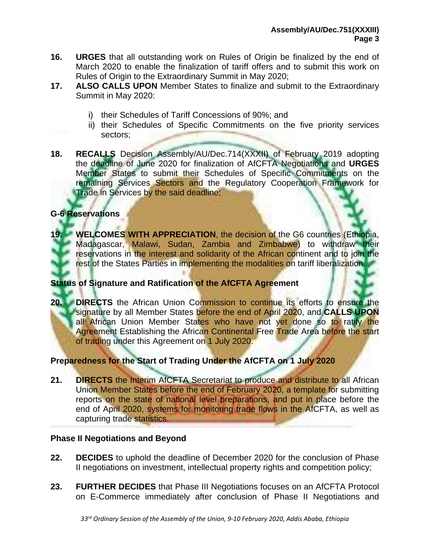- **16. URGES** that all outstanding work on Rules of Origin be finalized by the end of March 2020 to enable the finalization of tariff offers and to submit this work on Rules of Origin to the Extraordinary Summit in May 2020;
- **17. ALSO CALLS UPON** Member States to finalize and submit to the Extraordinary Summit in May 2020:
	- i) their Schedules of Tariff Concessions of 90%; and
	- ii) their Schedules of Specific Commitments on the five priority services sectors;
- **18. RECALLS** Decision Assembly/AU/Dec.714(XXXII) of February 2019 adopting the deadline of June 2020 for finalization of AfCFTA Negotiations and **URGES** Member States to submit their Schedules of Specific Commitments on the remaining Services Sectors and the Regulatory Cooperation Framework for Trade in Services by the said deadline;

## **G-6 Reservations**

**19. WELCOMES WITH APPRECIATION**, the decision of the G6 countries (Ethiopia, Madagascar, Malawi, Sudan, Zambia and Zimbabwe) to withdraw their reservations in the interest and solidarity of the African continent and to join the rest of the States Parties in implementing the modalities on tariff liberalization.

## **Status of Signature and Ratification of the AfCFTA Agreement**

**20. DIRECTS** the African Union Commission to continue its efforts to ensure the signature by all Member States before the end of April 2020, and **CALLS UPON**  all African Union Member States who have not yet done so to ratify the Agreement Establishing the African Continental Free Trade Area before the start of trading under this Agreement on 1 July 2020.

## **Preparedness for the Start of Trading Under the AfCFTA on 1 July 2020**

**21. DIRECTS** the Interim AfCFTA Secretariat to produce and distribute to all African Union Member States before the end of February 2020, a template for submitting reports on the state of national level preparations, and put in place before the end of April 2020, systems for monitoring trade flows in the AfCFTA, as well as capturing trade statistics.

#### **Phase II Negotiations and Beyond**

- **22. DECIDES** to uphold the deadline of December 2020 for the conclusion of Phase II negotiations on investment, intellectual property rights and competition policy;
- **23. FURTHER DECIDES** that Phase III Negotiations focuses on an AfCFTA Protocol on E-Commerce immediately after conclusion of Phase II Negotiations and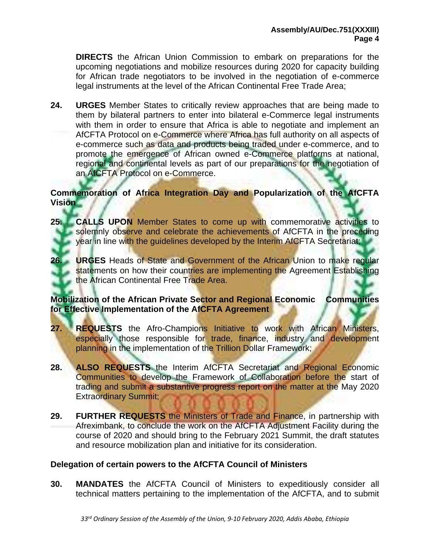**DIRECTS** the African Union Commission to embark on preparations for the upcoming negotiations and mobilize resources during 2020 for capacity building for African trade negotiators to be involved in the negotiation of e-commerce legal instruments at the level of the African Continental Free Trade Area;

**24. URGES** Member States to critically review approaches that are being made to them by bilateral partners to enter into bilateral e-Commerce legal instruments with them in order to ensure that Africa is able to negotiate and implement an AfCFTA Protocol on e-Commerce where Africa has full authority on all aspects of e-commerce such as data and products being traded under e-commerce, and to promote the emergence of African owned e-Commerce platforms at national, regional and continental levels as part of our preparations for the negotiation of an AfCFTA Protocol on e-Commerce.

## **Commemoration of Africa Integration Day and Popularization of the AfCFTA Vision**

- **25. CALLS UPON** Member States to come up with commemorative activities to solemnly observe and celebrate the achievements of AfCFTA in the preceding year in line with the guidelines developed by the Interim AfCFTA Secretariat;
- **26. URGES** Heads of State and Government of the African Union to make regular statements on how their countries are implementing the Agreement Establishing **the African Continental Free Trade Area.**

# **Mobilization of the African Private Sector and Regional Economic Communities for Effective Implementation of the AfCFTA Agreement**

- **27. REQUESTS** the Afro-Champions Initiative to work with African Ministers, especially those responsible for trade, finance, industry and development planning in the implementation of the Trillion Dollar Framework;
- **28. ALSO REQUESTS** the Interim AfCFTA Secretariat and Regional Economic Communities to develop the Framework of Collaboration before the start of trading and submit a substantive progress report on the matter at the May 2020 Extraordinary Summit;
- **29. FURTHER REQUESTS** the Ministers of Trade and Finance, in partnership with Afreximbank, to conclude the work on the AfCFTA Adjustment Facility during the course of 2020 and should bring to the February 2021 Summit, the draft statutes and resource mobilization plan and initiative for its consideration.

# **Delegation of certain powers to the AfCFTA Council of Ministers**

**30. MANDATES** the AfCFTA Council of Ministers to expeditiously consider all technical matters pertaining to the implementation of the AfCFTA, and to submit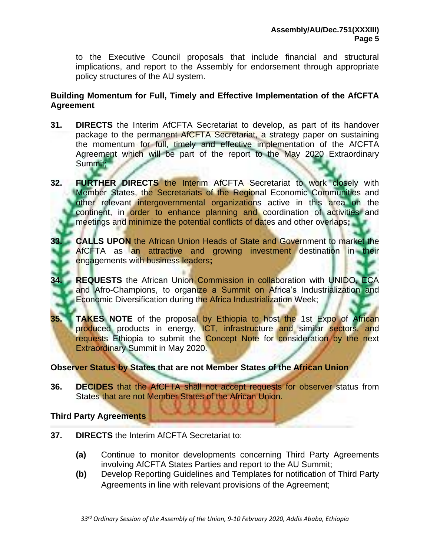to the Executive Council proposals that include financial and structural implications, and report to the Assembly for endorsement through appropriate policy structures of the AU system.

## **Building Momentum for Full, Timely and Effective Implementation of the AfCFTA Agreement**

- **31. DIRECTS** the Interim AfCFTA Secretariat to develop, as part of its handover package to the permanent AfCFTA Secretariat, a strategy paper on sustaining the momentum for full, timely and effective implementation of the AfCFTA Agreement which will be part of the report to the May 2020 Extraordinary Summit;
- **32. FURTHER DIRECTS** the Interim AfCFTA Secretariat to work closely with Member States, the Secretariats of the Regional Economic Communities and other relevant intergovernmental organizations active in this area on the continent, in order to enhance planning and coordination of activities and meetings and minimize the potential conflicts of dates and other overlaps**;**
- **33. CALLS UPON** the African Union Heads of State and Government to market the AfCFTA as an attractive and growing investment destination in their engagements with business leaders**;**
- **34. REQUESTS** the African Union Commission in collaboration with UNIDO, ECA and Afro-Champions, to organize a Summit on Africa's Industrialization and Economic Diversification during the Africa Industrialization Week;
- **35. TAKES NOTE** of the proposal by Ethiopia to host the 1st Expo of African produced products in energy, ICT, infrastructure and similar sectors, and requests Ethiopia to submit the Concept Note for consideration by the next Extraordinary Summit in May 2020.

# **Observer Status by States that are not Member States of the African Union**

**36. DECIDES** that the AfCFTA shall not accept requests for observer status from States that are not Member States of the African Union.

## **Third Party Agreements**

- **37. DIRECTS** the Interim AfCFTA Secretariat to:
	- **(a)** Continue to monitor developments concerning Third Party Agreements involving AfCFTA States Parties and report to the AU Summit;
	- **(b)** Develop Reporting Guidelines and Templates for notification of Third Party Agreements in line with relevant provisions of the Agreement;